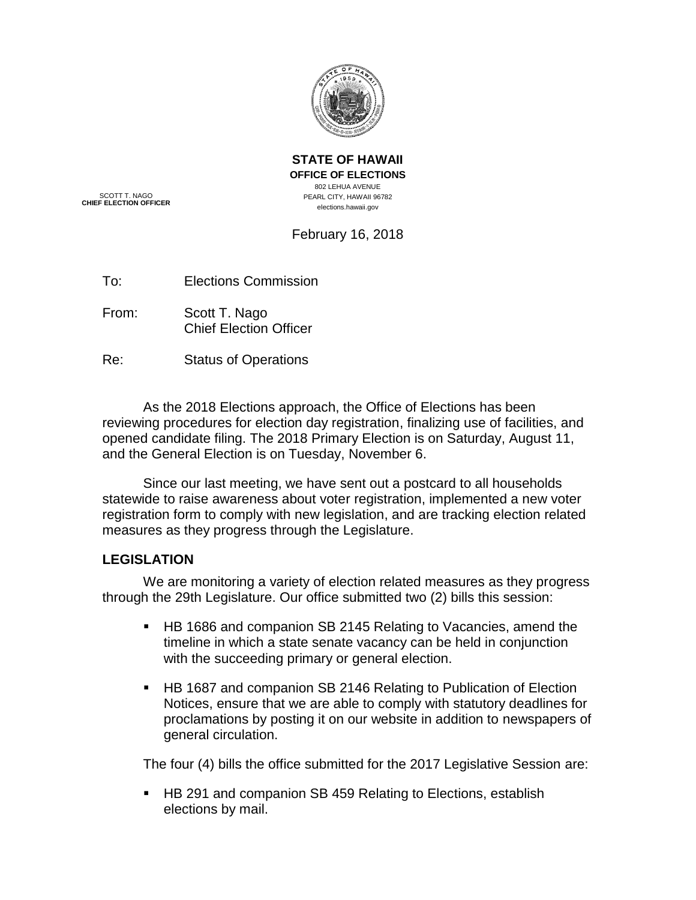

**STATE OF HAWAII OFFICE OF ELECTIONS** 802 LEHUA AVENUE PEARL CITY, HAWAII 96782 elections.hawaii.gov

SCOTT T. NAGO **CHIEF ELECTION OFFICER**

# February 16, 2018

- To: Elections Commission
- From: Scott T. Nago Chief Election Officer
- Re: Status of Operations

As the 2018 Elections approach, the Office of Elections has been reviewing procedures for election day registration, finalizing use of facilities, and opened candidate filing. The 2018 Primary Election is on Saturday, August 11, and the General Election is on Tuesday, November 6.

Since our last meeting, we have sent out a postcard to all households statewide to raise awareness about voter registration, implemented a new voter registration form to comply with new legislation, and are tracking election related measures as they progress through the Legislature.

### **LEGISLATION**

We are monitoring a variety of election related measures as they progress through the 29th Legislature. Our office submitted two (2) bills this session:

- HB 1686 and companion SB 2145 Relating to Vacancies, amend the timeline in which a state senate vacancy can be held in conjunction with the succeeding primary or general election.
- HB 1687 and companion SB 2146 Relating to Publication of Election Notices, ensure that we are able to comply with statutory deadlines for proclamations by posting it on our website in addition to newspapers of general circulation.

The four (4) bills the office submitted for the 2017 Legislative Session are:

■ HB 291 and companion SB 459 Relating to Elections, establish elections by mail.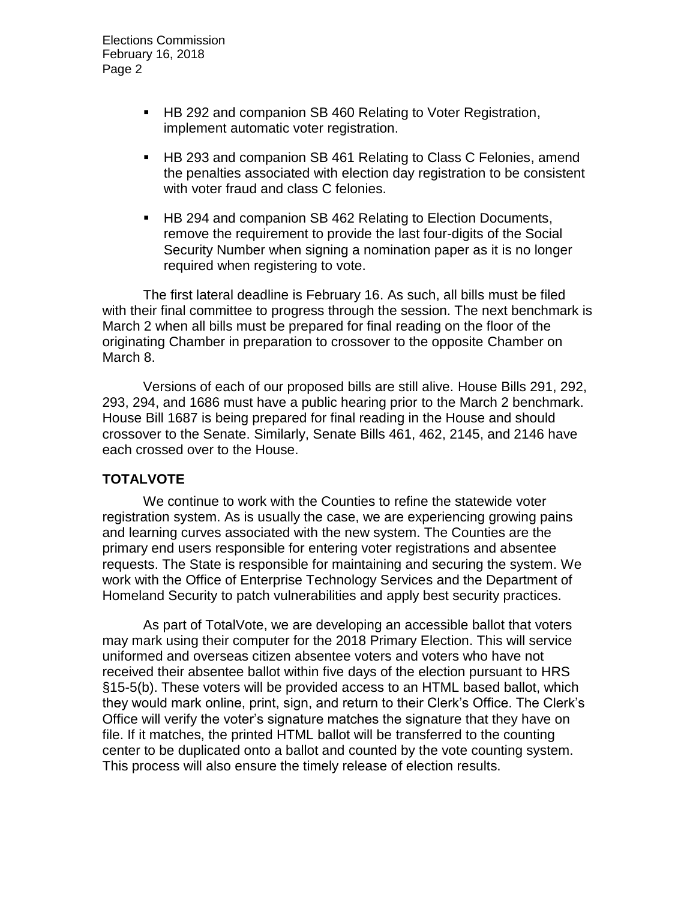- HB 292 and companion SB 460 Relating to Voter Registration, implement automatic voter registration.
- HB 293 and companion SB 461 Relating to Class C Felonies, amend the penalties associated with election day registration to be consistent with voter fraud and class C felonies.
- HB 294 and companion SB 462 Relating to Election Documents, remove the requirement to provide the last four-digits of the Social Security Number when signing a nomination paper as it is no longer required when registering to vote.

The first lateral deadline is February 16. As such, all bills must be filed with their final committee to progress through the session. The next benchmark is March 2 when all bills must be prepared for final reading on the floor of the originating Chamber in preparation to crossover to the opposite Chamber on March 8.

Versions of each of our proposed bills are still alive. House Bills 291, 292, 293, 294, and 1686 must have a public hearing prior to the March 2 benchmark. House Bill 1687 is being prepared for final reading in the House and should crossover to the Senate. Similarly, Senate Bills 461, 462, 2145, and 2146 have each crossed over to the House.

## **TOTALVOTE**

We continue to work with the Counties to refine the statewide voter registration system. As is usually the case, we are experiencing growing pains and learning curves associated with the new system. The Counties are the primary end users responsible for entering voter registrations and absentee requests. The State is responsible for maintaining and securing the system. We work with the Office of Enterprise Technology Services and the Department of Homeland Security to patch vulnerabilities and apply best security practices.

As part of TotalVote, we are developing an accessible ballot that voters may mark using their computer for the 2018 Primary Election. This will service uniformed and overseas citizen absentee voters and voters who have not received their absentee ballot within five days of the election pursuant to HRS §15-5(b). These voters will be provided access to an HTML based ballot, which they would mark online, print, sign, and return to their Clerk's Office. The Clerk's Office will verify the voter's signature matches the signature that they have on file. If it matches, the printed HTML ballot will be transferred to the counting center to be duplicated onto a ballot and counted by the vote counting system. This process will also ensure the timely release of election results.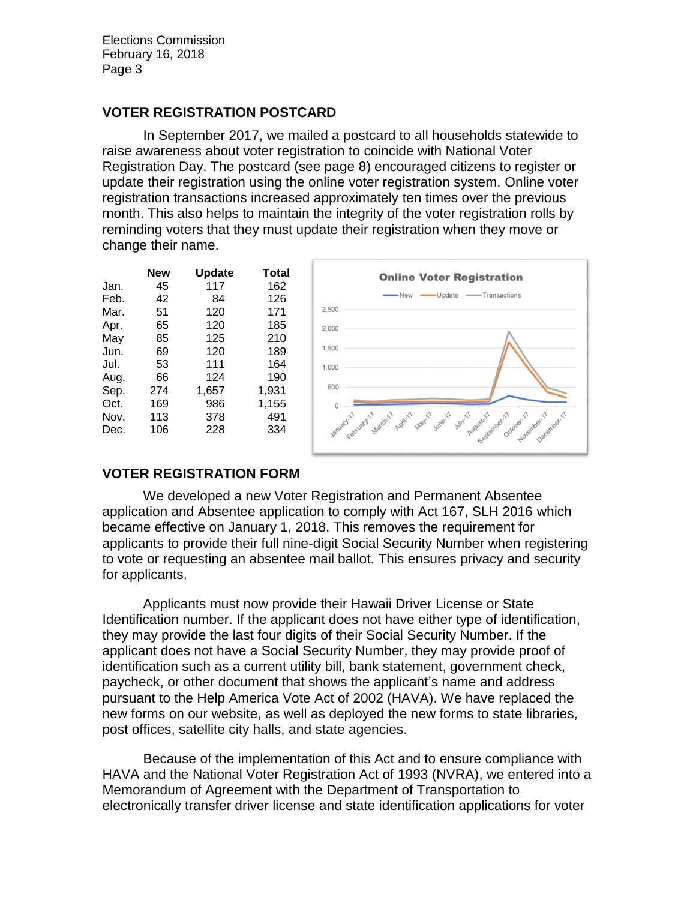### **VOTER REGISTRATION POSTCARD**

In September 2017, we mailed a postcard to all households statewide to raise awareness about voter registration to coincide with National Voter Registration Day. The postcard (see page [8\)](#page-7-0) encouraged citizens to register or update their registration using the online voter registration system. Online voter registration transactions increased approximately ten times over the previous month. This also helps to maintain the integrity of the voter registration rolls by reminding voters that they must update their registration when they move or change their name.

|      | New | <b>Update</b> | Total |
|------|-----|---------------|-------|
| Jan. | 45  | 117           | 162   |
| Feb. | 42  | 84            | 126   |
| Mar. | 51  | 120           | 171   |
| Apr. | 65  | 120           | 185   |
| May  | 85  | 125           | 210   |
| Jun. | 69  | 120           | 189   |
| Jul. | 53  | 111           | 164   |
| Aug. | 66  | 124           | 190   |
| Sep. | 274 | 1,657         | 1,931 |
| Oct. | 169 | 986           | 1,155 |
| Nov. | 113 | 378           | 491   |
| Dec. | 106 | 228           | 334   |
|      |     |               |       |



## **VOTER REGISTRATION FORM**

We developed a new Voter Registration and Permanent Absentee application and Absentee application to comply with Act 167, SLH 2016 which became effective on January 1, 2018. This removes the requirement for applicants to provide their full nine-digit Social Security Number when registering to vote or requesting an absentee mail ballot. This ensures privacy and security for applicants.

Applicants must now provide their Hawaii Driver License or State Identification number. If the applicant does not have either type of identification, they may provide the last four digits of their Social Security Number. If the applicant does not have a Social Security Number, they may provide proof of identification such as a current utility bill, bank statement, government check, paycheck, or other document that shows the applicant's name and address pursuant to the Help America Vote Act of 2002 (HAVA). We have replaced the new forms on our website, as well as deployed the new forms to state libraries, post offices, satellite city halls, and state agencies.

Because of the implementation of this Act and to ensure compliance with HAVA and the National Voter Registration Act of 1993 (NVRA), we entered into a Memorandum of Agreement with the Department of Transportation to electronically transfer driver license and state identification applications for voter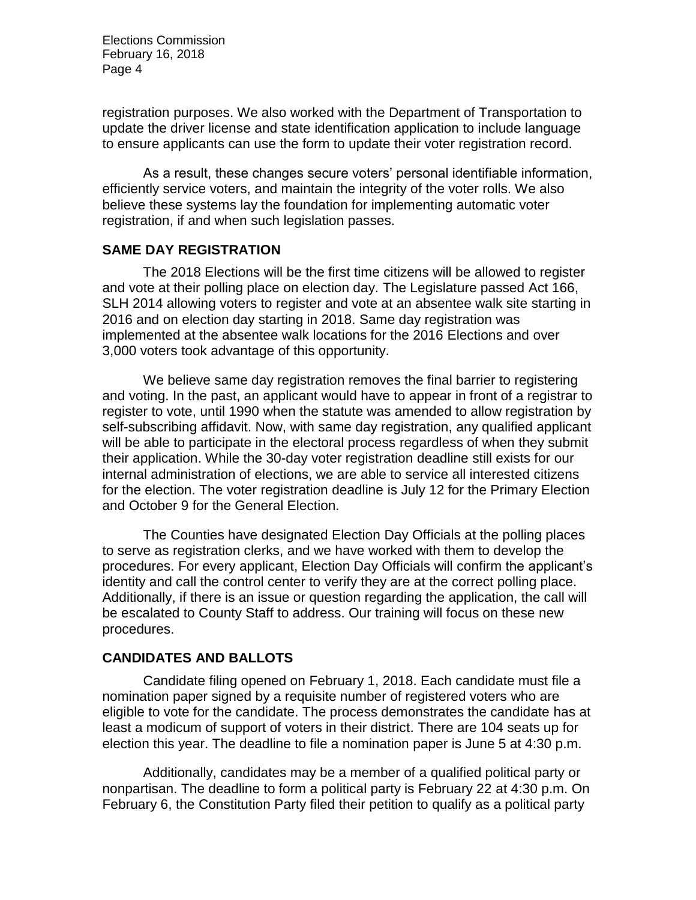registration purposes. We also worked with the Department of Transportation to update the driver license and state identification application to include language to ensure applicants can use the form to update their voter registration record.

As a result, these changes secure voters' personal identifiable information, efficiently service voters, and maintain the integrity of the voter rolls. We also believe these systems lay the foundation for implementing automatic voter registration, if and when such legislation passes.

#### **SAME DAY REGISTRATION**

The 2018 Elections will be the first time citizens will be allowed to register and vote at their polling place on election day. The Legislature passed Act 166, SLH 2014 allowing voters to register and vote at an absentee walk site starting in 2016 and on election day starting in 2018. Same day registration was implemented at the absentee walk locations for the 2016 Elections and over 3,000 voters took advantage of this opportunity.

We believe same day registration removes the final barrier to registering and voting. In the past, an applicant would have to appear in front of a registrar to register to vote, until 1990 when the statute was amended to allow registration by self-subscribing affidavit. Now, with same day registration, any qualified applicant will be able to participate in the electoral process regardless of when they submit their application. While the 30-day voter registration deadline still exists for our internal administration of elections, we are able to service all interested citizens for the election. The voter registration deadline is July 12 for the Primary Election and October 9 for the General Election.

The Counties have designated Election Day Officials at the polling places to serve as registration clerks, and we have worked with them to develop the procedures. For every applicant, Election Day Officials will confirm the applicant's identity and call the control center to verify they are at the correct polling place. Additionally, if there is an issue or question regarding the application, the call will be escalated to County Staff to address. Our training will focus on these new procedures.

### **CANDIDATES AND BALLOTS**

Candidate filing opened on February 1, 2018. Each candidate must file a nomination paper signed by a requisite number of registered voters who are eligible to vote for the candidate. The process demonstrates the candidate has at least a modicum of support of voters in their district. There are 104 seats up for election this year. The deadline to file a nomination paper is June 5 at 4:30 p.m.

Additionally, candidates may be a member of a qualified political party or nonpartisan. The deadline to form a political party is February 22 at 4:30 p.m. On February 6, the Constitution Party filed their petition to qualify as a political party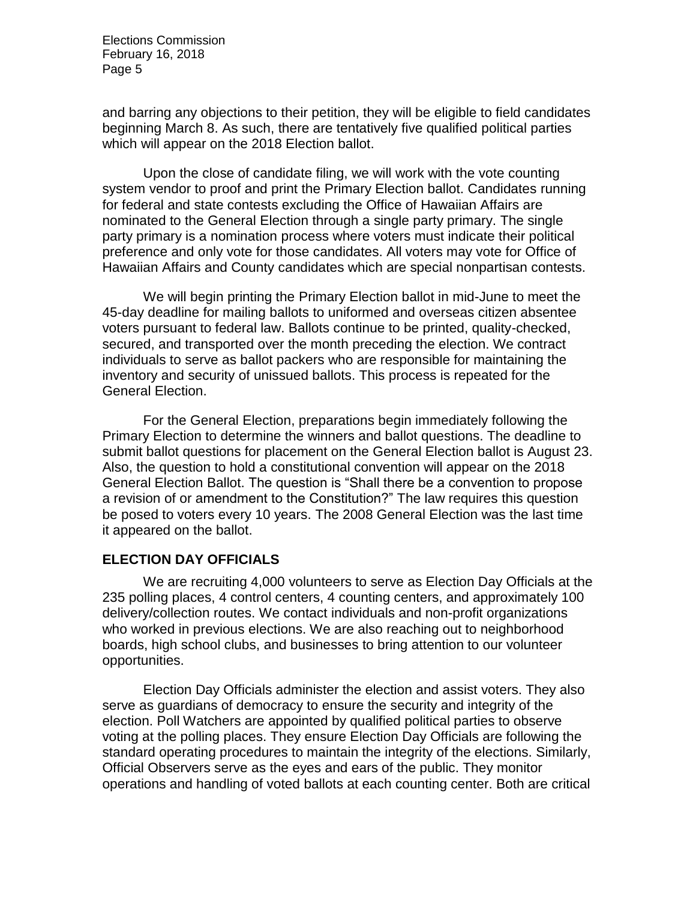and barring any objections to their petition, they will be eligible to field candidates beginning March 8. As such, there are tentatively five qualified political parties which will appear on the 2018 Election ballot.

Upon the close of candidate filing, we will work with the vote counting system vendor to proof and print the Primary Election ballot. Candidates running for federal and state contests excluding the Office of Hawaiian Affairs are nominated to the General Election through a single party primary. The single party primary is a nomination process where voters must indicate their political preference and only vote for those candidates. All voters may vote for Office of Hawaiian Affairs and County candidates which are special nonpartisan contests.

We will begin printing the Primary Election ballot in mid-June to meet the 45-day deadline for mailing ballots to uniformed and overseas citizen absentee voters pursuant to federal law. Ballots continue to be printed, quality-checked, secured, and transported over the month preceding the election. We contract individuals to serve as ballot packers who are responsible for maintaining the inventory and security of unissued ballots. This process is repeated for the General Election.

For the General Election, preparations begin immediately following the Primary Election to determine the winners and ballot questions. The deadline to submit ballot questions for placement on the General Election ballot is August 23. Also, the question to hold a constitutional convention will appear on the 2018 General Election Ballot. The question is "Shall there be a convention to propose a revision of or amendment to the Constitution?" The law requires this question be posed to voters every 10 years. The 2008 General Election was the last time it appeared on the ballot.

### **ELECTION DAY OFFICIALS**

We are recruiting 4,000 volunteers to serve as Election Day Officials at the 235 polling places, 4 control centers, 4 counting centers, and approximately 100 delivery/collection routes. We contact individuals and non-profit organizations who worked in previous elections. We are also reaching out to neighborhood boards, high school clubs, and businesses to bring attention to our volunteer opportunities.

Election Day Officials administer the election and assist voters. They also serve as guardians of democracy to ensure the security and integrity of the election. Poll Watchers are appointed by qualified political parties to observe voting at the polling places. They ensure Election Day Officials are following the standard operating procedures to maintain the integrity of the elections. Similarly, Official Observers serve as the eyes and ears of the public. They monitor operations and handling of voted ballots at each counting center. Both are critical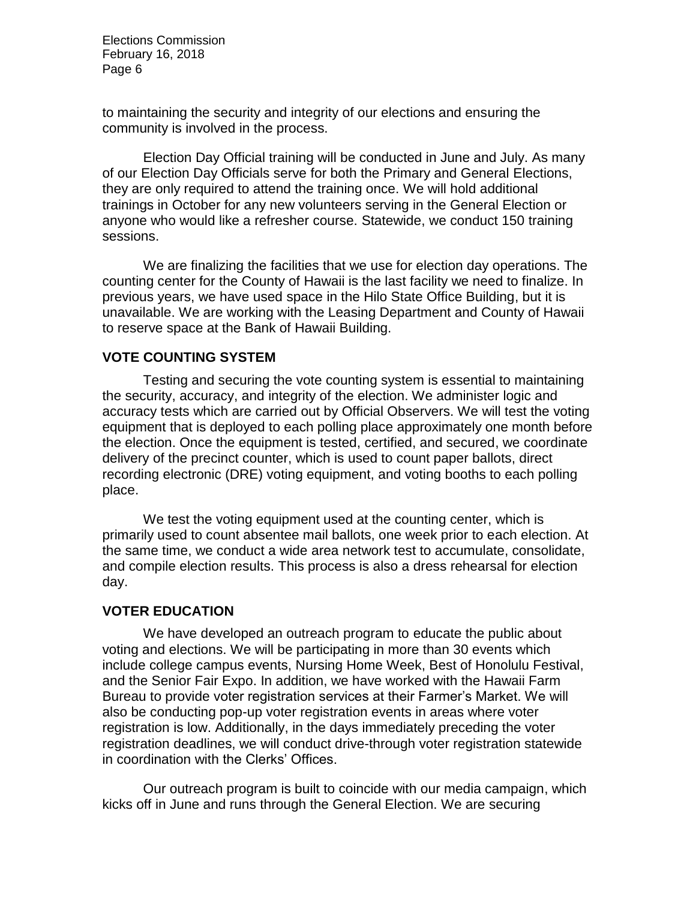to maintaining the security and integrity of our elections and ensuring the community is involved in the process.

Election Day Official training will be conducted in June and July. As many of our Election Day Officials serve for both the Primary and General Elections, they are only required to attend the training once. We will hold additional trainings in October for any new volunteers serving in the General Election or anyone who would like a refresher course. Statewide, we conduct 150 training sessions.

We are finalizing the facilities that we use for election day operations. The counting center for the County of Hawaii is the last facility we need to finalize. In previous years, we have used space in the Hilo State Office Building, but it is unavailable. We are working with the Leasing Department and County of Hawaii to reserve space at the Bank of Hawaii Building.

#### **VOTE COUNTING SYSTEM**

Testing and securing the vote counting system is essential to maintaining the security, accuracy, and integrity of the election. We administer logic and accuracy tests which are carried out by Official Observers. We will test the voting equipment that is deployed to each polling place approximately one month before the election. Once the equipment is tested, certified, and secured, we coordinate delivery of the precinct counter, which is used to count paper ballots, direct recording electronic (DRE) voting equipment, and voting booths to each polling place.

We test the voting equipment used at the counting center, which is primarily used to count absentee mail ballots, one week prior to each election. At the same time, we conduct a wide area network test to accumulate, consolidate, and compile election results. This process is also a dress rehearsal for election day.

#### **VOTER EDUCATION**

We have developed an outreach program to educate the public about voting and elections. We will be participating in more than 30 events which include college campus events, Nursing Home Week, Best of Honolulu Festival, and the Senior Fair Expo. In addition, we have worked with the Hawaii Farm Bureau to provide voter registration services at their Farmer's Market. We will also be conducting pop-up voter registration events in areas where voter registration is low. Additionally, in the days immediately preceding the voter registration deadlines, we will conduct drive-through voter registration statewide in coordination with the Clerks' Offices.

Our outreach program is built to coincide with our media campaign, which kicks off in June and runs through the General Election. We are securing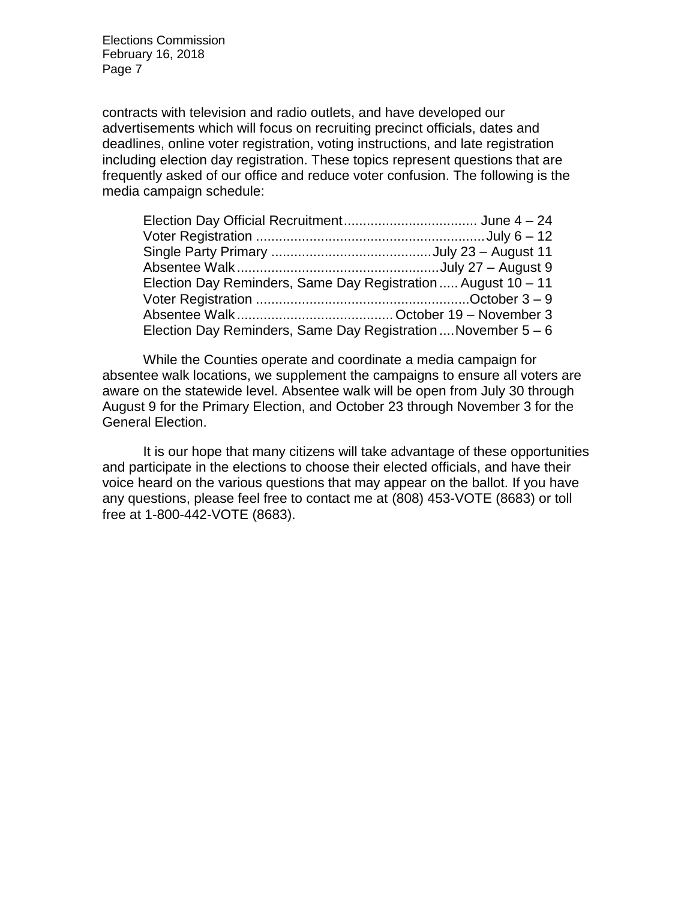contracts with television and radio outlets, and have developed our advertisements which will focus on recruiting precinct officials, dates and deadlines, online voter registration, voting instructions, and late registration including election day registration. These topics represent questions that are frequently asked of our office and reduce voter confusion. The following is the media campaign schedule:

| Election Day Reminders, Same Day Registration  August 10 – 11   |  |
|-----------------------------------------------------------------|--|
|                                                                 |  |
|                                                                 |  |
| Election Day Reminders, Same Day Registration  November $5 - 6$ |  |

While the Counties operate and coordinate a media campaign for absentee walk locations, we supplement the campaigns to ensure all voters are aware on the statewide level. Absentee walk will be open from July 30 through August 9 for the Primary Election, and October 23 through November 3 for the General Election.

It is our hope that many citizens will take advantage of these opportunities and participate in the elections to choose their elected officials, and have their voice heard on the various questions that may appear on the ballot. If you have any questions, please feel free to contact me at (808) 453-VOTE (8683) or toll free at 1-800-442-VOTE (8683).